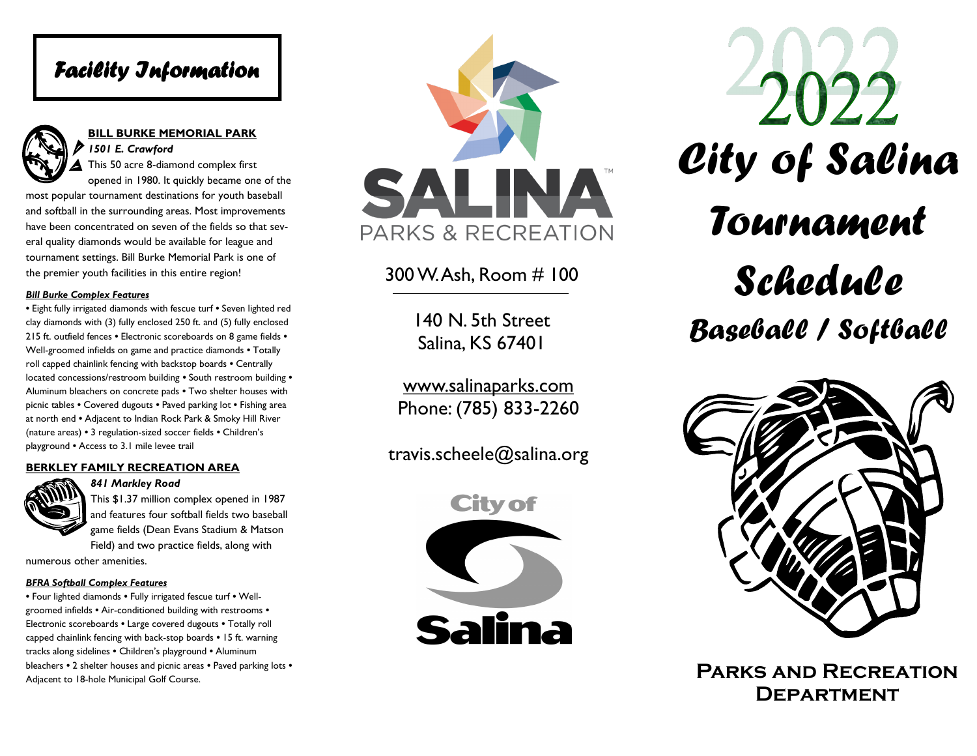## *Facility Information*



#### **BILL BURKE MEMORIAL PARK**  *1501 E. Crawford*

This 50 acre 8-diamond complex first

opened in 1980. It quickly became one of the most popular tournament destinations for youth baseball and softball in the surrounding areas. Most improvements have been concentrated on seven of the fields so that several quality diamonds would be available for league and tournament settings. Bill Burke Memorial Park is one of the premier youth facilities in this entire region!

#### *Bill Burke Complex Features*

*•* Eight fully irrigated diamonds with fescue turf *•* Seven lighted red clay diamonds with (3) fully enclosed 250 ft. and (5) fully enclosed 215 ft. outfield fences *•* Electronic scoreboards on 8 game fields *•* Well-groomed infields on game and practice diamonds *•* Totally roll capped chainlink fencing with backstop boards *•* Centrally located concessions/restroom building *•* South restroom building *•*  Aluminum bleachers on concrete pads *•* Two shelter houses with picnic tables *•* Covered dugouts *•* Paved parking lot *•* Fishing area at north end *•* Adjacent to Indian Rock Park & Smoky Hill River (nature areas) *•* 3 regulation-sized soccer fields *•* Children's playground *•* Access to 3.1 mile levee trail

#### **BERKLEY FAMILY RECREATION AREA**



*841 Markley Road* 

This \$1.37 million complex opened in 1987 and features four softball fields two baseball game fields (Dean Evans Stadium & Matson Field) and two practice fields, along with

numerous other amenities.

#### *BFRA Softball Complex Features*

*•* Four lighted diamonds *•* Fully irrigated fescue turf *•* Wellgroomed infields *•* Air-conditioned building with restrooms *•*  Electronic scoreboards *•* Large covered dugouts *•* Totally roll capped chainlink fencing with back-stop boards *•* 15 ft. warning tracks along sidelines *•* Children's playground *•* Aluminum bleachers *•* 2 shelter houses and picnic areas *•* Paved parking lots *•*  Adjacent to 18-hole Municipal Golf Course.



### 300 W. Ash, Room # 100

140 N. 5th Street Salina, KS 67401

www.salinaparks.com Phone: (785) 833-2260

travis.scheele@salina.org









**Parks and Recreation Department**